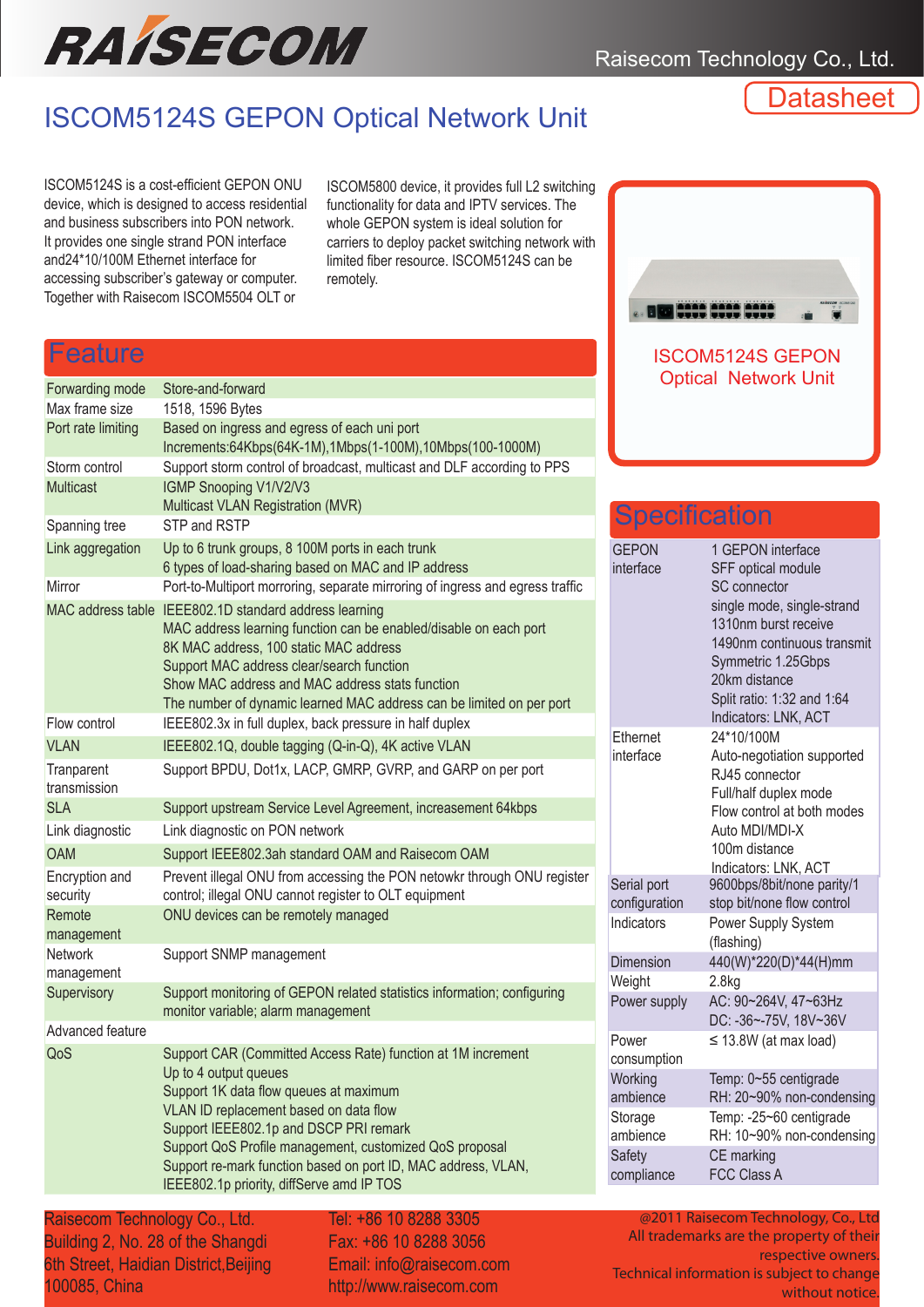

Raisecom Technology Co., Ltd.

# ISCOM5124S GEPON Optical Network Unit

**Datasheet** 

ISCOM5124S is a cost-efficient GEPON ONU device, which is designed to access residential and business subscribers into PON network. It provides one single strand PON interface and24\*10/100M Ethernet interface for accessing subscriber's gateway or computer. Together with Raisecom ISCOM5504 OLT or

ISCOM5800 device, it provides full L2 switching functionality for data and IPTV services. The whole GEPON system is ideal solution for carriers to deploy packet switching network with limited fiber resource. ISCOM5124S can be remotely.

#### Feature

|                              |                                                                                                                                                                                                                                                                                                                                               |                                                   | <b>Optical Network Unit</b>                                                                                                                  |  |
|------------------------------|-----------------------------------------------------------------------------------------------------------------------------------------------------------------------------------------------------------------------------------------------------------------------------------------------------------------------------------------------|---------------------------------------------------|----------------------------------------------------------------------------------------------------------------------------------------------|--|
| Forwarding mode              | Store-and-forward                                                                                                                                                                                                                                                                                                                             |                                                   |                                                                                                                                              |  |
| Max frame size               | 1518, 1596 Bytes                                                                                                                                                                                                                                                                                                                              |                                                   |                                                                                                                                              |  |
| Port rate limiting           | Based on ingress and egress of each uni port                                                                                                                                                                                                                                                                                                  |                                                   |                                                                                                                                              |  |
| Storm control                | Increments:64Kbps(64K-1M),1Mbps(1-100M),10Mbps(100-1000M)<br>Support storm control of broadcast, multicast and DLF according to PPS                                                                                                                                                                                                           |                                                   |                                                                                                                                              |  |
| Multicast                    | IGMP Snooping V1/V2/V3                                                                                                                                                                                                                                                                                                                        |                                                   |                                                                                                                                              |  |
|                              | Multicast VLAN Registration (MVR)                                                                                                                                                                                                                                                                                                             |                                                   |                                                                                                                                              |  |
| Spanning tree                | STP and RSTP                                                                                                                                                                                                                                                                                                                                  | <b>Specification</b>                              |                                                                                                                                              |  |
| Link aggregation             | Up to 6 trunk groups, 8 100M ports in each trunk<br>6 types of load-sharing based on MAC and IP address                                                                                                                                                                                                                                       | <b>GEPON</b><br>interface                         | 1 GEPON interface<br>SFF optical module                                                                                                      |  |
| Mirror                       | Port-to-Multiport morroring, separate mirroring of ingress and egress traffic                                                                                                                                                                                                                                                                 |                                                   | <b>SC</b> connector                                                                                                                          |  |
|                              | MAC address table IEEE802.1D standard address learning<br>MAC address learning function can be enabled/disable on each port<br>8K MAC address, 100 static MAC address<br>Support MAC address clear/search function<br>Show MAC address and MAC address stats function<br>The number of dynamic learned MAC address can be limited on per port |                                                   | single mode, single-str<br>1310nm burst receive<br>1490nm continuous tra<br>Symmetric 1.25Gbps<br>20km distance<br>Split ratio: 1:32 and 1:6 |  |
| Flow control                 | IEEE802.3x in full duplex, back pressure in half duplex                                                                                                                                                                                                                                                                                       |                                                   | Indicators: LNK, ACT                                                                                                                         |  |
| <b>VLAN</b>                  | IEEE802.1Q, double tagging (Q-in-Q), 4K active VLAN                                                                                                                                                                                                                                                                                           | Ethernet<br>interface                             | 24*10/100M<br>Auto-negotiation suppo                                                                                                         |  |
| Tranparent<br>transmission   | Support BPDU, Dot1x, LACP, GMRP, GVRP, and GARP on per port                                                                                                                                                                                                                                                                                   |                                                   | RJ45 connector<br>Full/half duplex mode                                                                                                      |  |
| <b>SLA</b>                   | Support upstream Service Level Agreement, increasement 64kbps                                                                                                                                                                                                                                                                                 |                                                   | Flow control at both m                                                                                                                       |  |
| Link diagnostic              | Link diagnostic on PON network                                                                                                                                                                                                                                                                                                                |                                                   | Auto MDI/MDI-X                                                                                                                               |  |
| <b>OAM</b>                   | Support IEEE802.3ah standard OAM and Raisecom OAM                                                                                                                                                                                                                                                                                             |                                                   | 100m distance                                                                                                                                |  |
| Encryption and<br>security   | Prevent illegal ONU from accessing the PON netowkr through ONU register<br>control; illegal ONU cannot register to OLT equipment                                                                                                                                                                                                              | Serial port<br>configuration                      | Indicators: LNK, ACT<br>9600bps/8bit/none pari<br>stop bit/none flow contr                                                                   |  |
| Remote<br>management         | ONU devices can be remotely managed                                                                                                                                                                                                                                                                                                           | Indicators                                        | Power Supply System<br>(flashing)                                                                                                            |  |
| <b>Network</b><br>management | Support SNMP management                                                                                                                                                                                                                                                                                                                       | Dimension<br>Weight                               | 440(W)*220(D)*44(H)n<br>2.8kg                                                                                                                |  |
| Supervisory                  | Support monitoring of GEPON related statistics information; configuring<br>monitor variable; alarm management                                                                                                                                                                                                                                 | Power supply                                      | AC: 90~264V, 47~63H;<br>DC: -36~-75V, 18V~36                                                                                                 |  |
| Advanced feature             |                                                                                                                                                                                                                                                                                                                                               | Power                                             | $\leq$ 13.8W (at max load)                                                                                                                   |  |
| QoS                          | Support CAR (Committed Access Rate) function at 1M increment                                                                                                                                                                                                                                                                                  | consumption                                       |                                                                                                                                              |  |
|                              | Up to 4 output queues<br>Support 1K data flow queues at maximum<br>VLAN ID replacement based on data flow<br>Support IEEE802.1p and DSCP PRI remark<br>Support QoS Profile management, customized QoS proposal                                                                                                                                | Working<br>ambience                               | Temp: 0~55 centigrade<br>RH: 20~90% non-cond                                                                                                 |  |
|                              |                                                                                                                                                                                                                                                                                                                                               | Storage<br>ambience                               | Temp: -25~60 centigra<br>RH: 10~90% non-cond                                                                                                 |  |
|                              | Support re-mark function based on port ID, MAC address, VLAN,<br>IEEE802.1p priority, diffServe amd IP TOS                                                                                                                                                                                                                                    | Safety<br>CE marking<br>FCC Class A<br>compliance |                                                                                                                                              |  |
|                              |                                                                                                                                                                                                                                                                                                                                               |                                                   |                                                                                                                                              |  |

Raisecom Technology Co., Ltd. Building 2, No. 28 of the Shangdi 6th Street, Haidian District,Beijing 100085, China

Tel: +86 10 8288 3305 Fax: +86 10 8288 3056 Email: info@raisecom.com http://www.raisecom.com

| 0.8                                                    |
|--------------------------------------------------------|
| <b>ISCOM5124S GEPON</b><br><b>Optical Network Unit</b> |

#### GEPON interface 1 GEPON interface SFF optical module SC connector single mode, single-strand 1310nm burst receive 1490nm continuous transmit Symmetric 1.25Gbps 20km distance Split ratio: 1:32 and 1:64 Indicators: LNK, ACT **Ethernet** interface 24\*10/100M Auto-negotiation supported RJ45 connector Full/half duplex mode Flow control at both modes Auto MDI/MDI-X 100m distance Indicators: LNK, ACT **Specification** Serial port configuration 9600bps/8bit/none parity/1 stop bit/none flow control Indicators Power Supply System (flashing) Dimension 440(W)\*220(D)\*44(H)mm Weight 2.8kg Power supply AC: 90~264V, 47~63Hz DC: -36~-75V, 18V~36V Power consumption ≤ 13.8W (at max load) **Working** ambience Temp: 0~55 centigrade RH: 20~90% non-condensing **Storage** ambience Temp: -25~60 centigrade RH: 10~90% non-condensing **Safety** compliance CE marking FCC Class A

@2011 Raisecom Technology, Co., Ltd All trademarks are the property of their respective owners. Technical information is subject to change without notice.